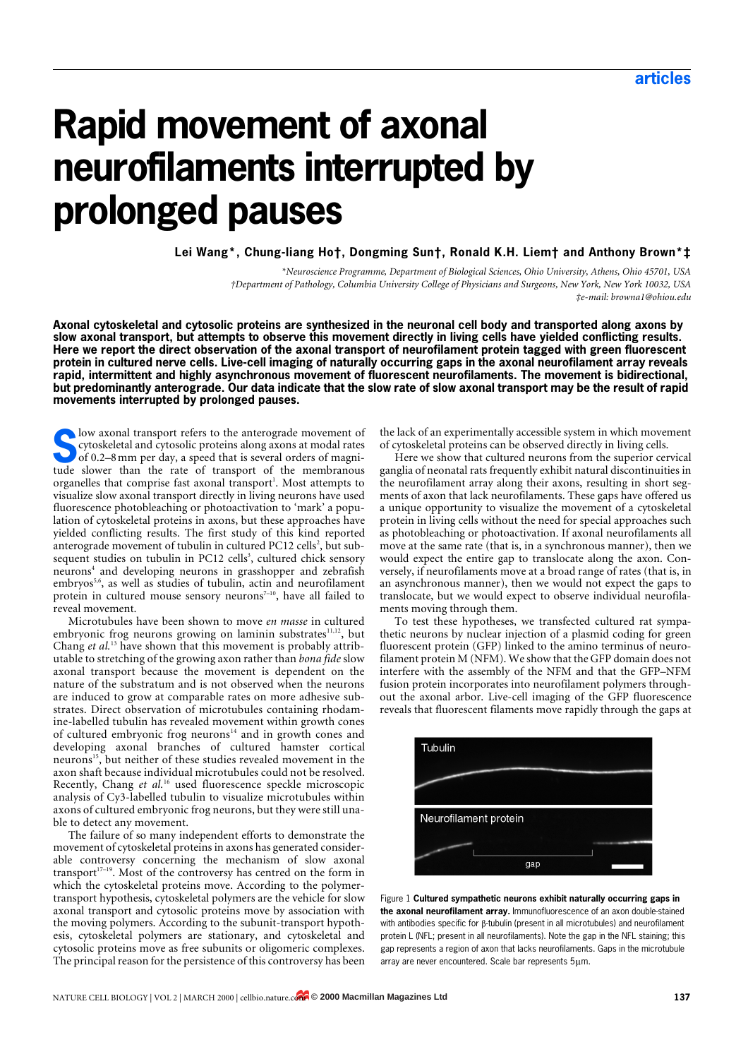# **Rapid movement of axonal neurofilaments interrupted by prolonged pauses**

**Lei Wang[\\*,](#page-0-0) Chung-liang Ho[†,](#page-0-1) Dongming Sun†, Ronald K.H. Liem[†](#page-0-1) and Anthony Brow[n\\*](#page-0-0)[‡](#page-0-2)**

*\*Neuroscience Programme, Department of Biological Sciences, Ohio University, Athens, Ohio 45701, USA †Department of Pathology, Columbia University College of Physicians and Surgeons, New York, New York 10032, USA ‡e-mail: browna1@ohiou.edu*

<span id="page-0-2"></span><span id="page-0-1"></span><span id="page-0-0"></span>**Axonal cytoskeletal and cytosolic proteins are synthesized in the neuronal cell body and transported along axons by slow axonal transport, but attempts to observe this movement directly in living cells have yielded conflicting results. Here we report the direct observation of the axonal transport of neurofilament protein tagged with green fluorescent protein in cultured nerve cells. Live-cell imaging of naturally occurring gaps in the axonal neurofilament array reveals rapid, intermittent and highly asynchronous movement of fluorescent neurofilaments. The movement is bidirectional, but predominantly anterograde. Our data indicate that the slow rate of slow axonal transport may be the result of rapid movements interrupted by prolonged pauses.**

low axonal transport refers to the anterograde movement of cytoskeletal and cytosolic proteins along axons at modal rates of 0.2–8 mm per day, a speed that is several orders of magnitude shows that the rate of transport of the mambraneuv state of the magnitude shows than the rate of transport of the mambraneuv tude slower than the rate of transport of the membranous organelles that comprise fast axonal transport<sup>1</sup>. Most attempts to visualize slow axonal transport directly in living neurons have used fluorescence photobleaching or photoactivation to 'mark' a population of cytoskeletal proteins in axons, but these approaches have yielded conflicting results. The first study of this kind reported anterograde movement of tubulin in cultured PC12 cells<sup>2</sup>, but subsequent studies on tubulin in PC12 cells<sup>3</sup>, cultured chick sensory neurons<sup>4</sup> and developing neurons in grasshopper and zebrafish embryos<sup>5,6</sup>, as well as studies of tubulin, actin and neurofilament protein in cultured mouse sensory neurons<sup> $7-10$ </sup>, have all failed to reveal movement.

Microtubules have been shown to move *en masse* in cultured embryonic frog neurons growing on laminin substrates<sup>11,12</sup>, but Chang *et al.*13 have shown that this movement is probably attributable to stretching of the growing axon rather than *bona fide* slow axonal transport because the movement is dependent on the nature of the substratum and is not observed when the neurons are induced to grow at comparable rates on more adhesive substrates. Direct observation of microtubules containing rhodamine-labelled tubulin has revealed movement within growth cones of cultured embryonic frog neurons<sup>14</sup> and in growth cones and developing axonal branches of cultured hamster cortical neurons<sup>15</sup>, but neither of these studies revealed movement in the axon shaft because individual microtubules could not be resolved. Recently, Chang *et al.*16 used fluorescence speckle microscopic analysis of Cy3-labelled tubulin to visualize microtubules within axons of cultured embryonic frog neurons, but they were still unable to detect any movement.

The failure of so many independent efforts to demonstrate the movement of cytoskeletal proteins in axons has generated considerable controversy concerning the mechanism of slow axonal transport $17-19$ . Most of the controversy has centred on the form in which the cytoskeletal proteins move. According to the polymertransport hypothesis, cytoskeletal polymers are the vehicle for slow axonal transport and cytosolic proteins move by association with the moving polymers. According to the subunit-transport hypothesis, cytoskeletal polymers are stationary, and cytoskeletal and cytosolic proteins move as free subunits or oligomeric complexes. The principal reason for the persistence of this controversy has been the lack of an experimentally accessible system in which movement of cytoskeletal proteins can be observed directly in living cells.

Here we show that cultured neurons from the superior cervical ganglia of neonatal rats frequently exhibit natural discontinuities in the neurofilament array along their axons, resulting in short segments of axon that lack neurofilaments. These gaps have offered us a unique opportunity to visualize the movement of a cytoskeletal protein in living cells without the need for special approaches such as photobleaching or photoactivation. If axonal neurofilaments all move at the same rate (that is, in a synchronous manner), then we would expect the entire gap to translocate along the axon. Conversely, if neurofilaments move at a broad range of rates (that is, in an asynchronous manner), then we would not expect the gaps to translocate, but we would expect to observe individual neurofilaments moving through them.

To test these hypotheses, we transfected cultured rat sympathetic neurons by nuclear injection of a plasmid coding for green fluorescent protein (GFP) linked to the amino terminus of neurofilament protein M (NFM). We show that the GFP domain does not interfere with the assembly of the NFM and that the GFP–NFM fusion protein incorporates into neurofilament polymers throughout the axonal arbor. Live-cell imaging of the GFP fluorescence reveals that fluorescent filaments move rapidly through the gaps at



Figure 1 **Cultured sympathetic neurons exhibit naturally occurring gaps in the axonal neurofilament array.** Immunofluorescence of an axon double-stained with antibodies specific for  $\beta$ -tubulin (present in all microtubules) and neurofilament protein L (NFL; present in all neurofilaments). Note the gap in the NFL staining; this gap represents a region of axon that lacks neurofilaments. Gaps in the microtubule array are never encountered. Scale bar represents  $5\,\upmu$ m.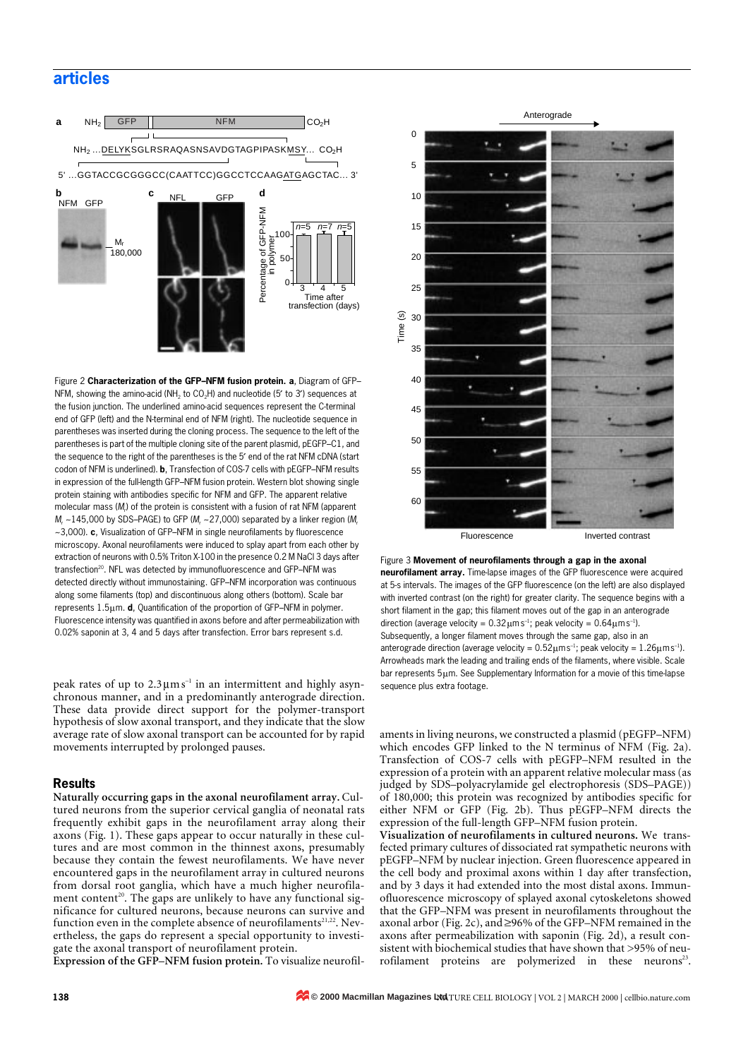# **articles**



Figure 2 **Characterization of the GFP–NFM fusion protein. a**, Diagram of GFP– NFM, showing the amino-acid (NH<sub>2</sub> to CO<sub>2</sub>H) and nucleotide (5' to 3') sequences at the fusion junction. The underlined amino-acid sequences represent the C-terminal end of GFP (left) and the N-terminal end of NFM (right). The nucleotide sequence in parentheses was inserted during the cloning process. The sequence to the left of the parentheses is part of the multiple cloning site of the parent plasmid, pEGFP–C1, and the sequence to the right of the parentheses is the 5' end of the rat NFM cDNA (start codon of NFM is underlined). **b**, Transfection of COS-7 cells with pEGFP–NFM results in expression of the full-length GFP–NFM fusion protein. Western blot showing single protein staining with antibodies specific for NFM and GFP. The apparent relative molecular mass (M,) of the protein is consistent with a fusion of rat NFM (apparent M,  $\sim$ 145,000 by SDS–PAGE) to GFP (M,  $\sim$ 27,000) separated by a linker region (M, ~3,000). **c**, Visualization of GFP–NFM in single neurofilaments by fluorescence microscopy. Axonal neurofilaments were induced to splay apart from each other by extraction of neurons with 0.5% Triton X-100 in the presence 0.2 M NaCl 3 days after transfection<sup>20</sup>. NFL was detected by immunofluorescence and GFP-NFM was detected directly without immunostaining. GFP–NFM incorporation was continuous along some filaments (top) and discontinuous along others (bottom). Scale bar represents 1.5 µm. **d**, Quantification of the proportion of GFP–NFM in polymer.<br>— Fluorescence intensity was quantified in axons before and after permeabilization with 0.02% saponin at 3, 4 and 5 days after transfection. Error bars represent s.d.

peak rates of up to  $2.3 \mu m s^{-1}$  in an intermittent and highly asyn-<br>chronous manner and in a moderninently enterpreted direction chronous manner, and in a predominantly anterograde direction. These data provide direct support for the polymer-transport hypothesis of slow axonal transport, and they indicate that the slow average rate of slow axonal transport can be accounted for by rapid movements interrupted by prolonged pauses.

# **Results**

**Naturally occurring gaps in the axonal neurofilament array.** Cultured neurons from the superior cervical ganglia of neonatal rats frequently exhibit gaps in the neurofilament array along their axons (Fig. 1). These gaps appear to occur naturally in these cultures and are most common in the thinnest axons, presumably because they contain the fewest neurofilaments. We have never encountered gaps in the neurofilament array in cultured neurons from dorsal root ganglia, which have a much higher neurofilament content<sup>20</sup>. The gaps are unlikely to have any functional significance for cultured neurons, because neurons can survive and function even in the complete absence of neurofilaments $21,22$ . Nevertheless, the gaps do represent a special opportunity to investigate the axonal transport of neurofilament protein.

**Expression of the GFP–NFM fusion protein.** To visualize neurofil-



Figure 3 **Movement of neurofilaments through a gap in the axonal** 

**neurofilament array.** Time-lapse images of the GFP fluorescence were acquired at 5-s intervals. The images of the GFP fluorescence (on the left) are also displayed with inverted contrast (on the right) for greater clarity. The sequence begins with a short filament in the gap; this filament moves out of the gap in an anterograde direction (average velocity =  $0.32 \mu m s^{-1}$ ; peak velocity =  $0.64 \mu m s^{-1}$ ). Subsequently, a longer filament moves through the same gap, also in an anterograde direction (average velocity =  $0.52 \mu m s^{-1}$ ; peak velocity =  $1.26 \mu m s^{-1}$ ). Arrowheads mark the leading and trailing ends of the filaments, where visible. Scale bar represents 5 um. See Supplementary Information for a movie of this time-lapse sequence plus extra footage.

aments in living neurons, we constructed a plasmid (pEGFP–NFM) which encodes GFP linked to the N terminus of NFM (Fig. 2a). Transfection of COS-7 cells with pEGFP–NFM resulted in the expression of a protein with an apparent relative molecular mass (as judged by SDS–polyacrylamide gel electrophoresis (SDS–PAGE)) of 180,000; this protein was recognized by antibodies specific for either NFM or GFP (Fig. 2b). Thus pEGFP–NFM directs the expression of the full-length GFP–NFM fusion protein.

**Visualization of neurofilaments in cultured neurons.** We transfected primary cultures of dissociated rat sympathetic neurons with pEGFP–NFM by nuclear injection. Green fluorescence appeared in the cell body and proximal axons within 1 day after transfection, and by 3 days it had extended into the most distal axons. Immunofluorescence microscopy of splayed axonal cytoskeletons showed that the GFP–NFM was present in neurofilaments throughout the axonal arbor (Fig. 2c), and ≥96% of the GFP–NFM remained in the<br>axone after narmachilization with eaponin (Fig. 2d), a result son axons after permeabilization with saponin (Fig. 2d), a result consistent with biochemical studies that have shown that >95% of neurofilament proteins are polymerized in these neurons<sup>23</sup>.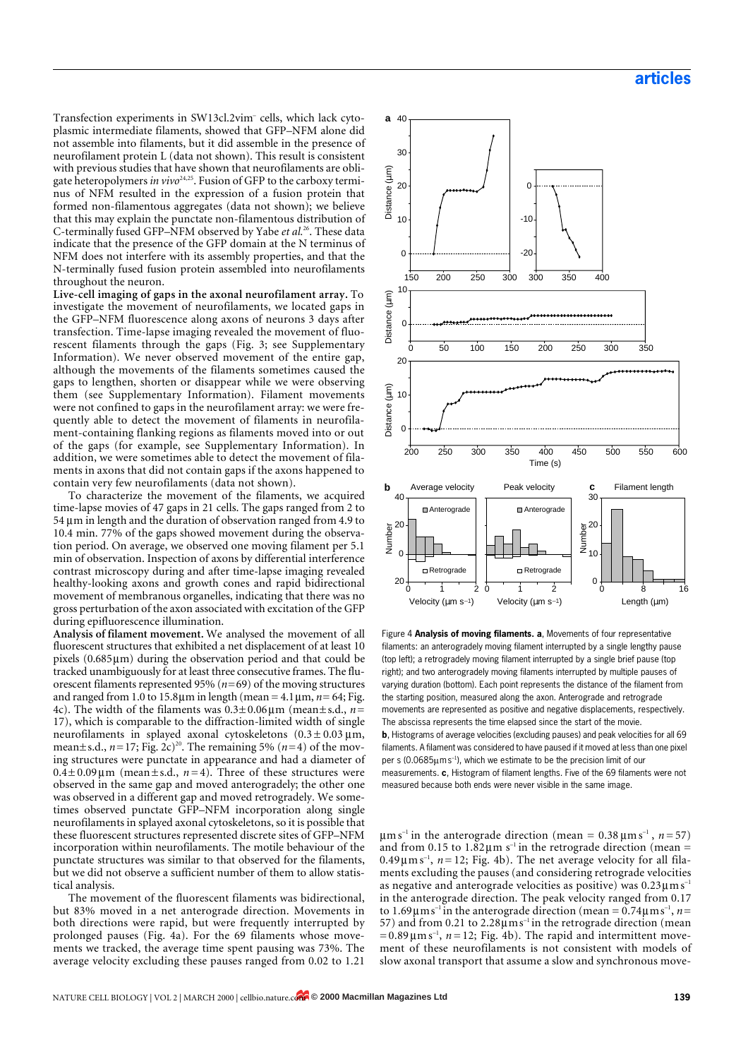Transfection experiments in SW13cl.2vim– cells, which lack cytoplasmic intermediate filaments, showed that GFP–NFM alone did not assemble into filaments, but it did assemble in the presence of neurofilament protein L (data not shown). This result is consistent with previous studies that have shown that neurofilaments are obligate heteropolymers *in vivo*<sup>24,25</sup>. Fusion of GFP to the carboxy terminus of NFM resulted in the expression of a fusion protein that formed non-filamentous aggregates (data not shown); we believe that this may explain the punctate non-filamentous distribution of C-terminally fused GFP–NFM observed by Yabe et al.<sup>26</sup>. These data indicate that the presence of the GFP domain at the N terminus of NFM does not interfere with its assembly properties, and that the N-terminally fused fusion protein assembled into neurofilaments throughout the neuron.

**Live-cell imaging of gaps in the axonal neurofilament array.** To investigate the movement of neurofilaments, we located gaps in the GFP–NFM fluorescence along axons of neurons 3 days after transfection. Time-lapse imaging revealed the movement of fluorescent filaments through the gaps (Fig. 3; see Supplementary Information). We never observed movement of the entire gap, although the movements of the filaments sometimes caused the gaps to lengthen, shorten or disappear while we were observing them (see Supplementary Information). Filament movements were not confined to gaps in the neurofilament array: we were frequently able to detect the movement of filaments in neurofilament-containing flanking regions as filaments moved into or out of the gaps (for example, see Supplementary Information). In addition, we were sometimes able to detect the movement of filaments in axons that did not contain gaps if the axons happened to contain very few neurofilaments (data not shown).

To characterize the movement of the filaments, we acquired time-lapse movies of 47 gaps in 21 cells. The gaps ranged from 2 to 54 µm in length and the duration of observation ranged from 4.9 to 10.4 min. 77% of the gaps showed movement during the observation period. On average, we observed one moving filament per 5.1 min of observation. Inspection of axons by differential interference contrast microscopy during and after time-lapse imaging revealed healthy-looking axons and growth cones and rapid bidirectional movement of membranous organelles, indicating that there was no gross perturbation of the axon associated with excitation of the GFP during epifluorescence illumination.

**Analysis of filament movement.** We analysed the movement of all fluorescent structures that exhibited a net displacement of at least 10 pixels  $(0.685 \mu m)$  during the observation period and that could be tracked unambiguously for at least three consecutive frames. The fluorescent filaments represented 95% (*n*=69) of the moving structures and ranged from 1.0 to 15.8 $\mu$ m in length (mean = 4.1 $\mu$ m,  $n = 64$ ; Fig. 4c). The width of the filaments was  $0.3\pm0.06\,\mu\text{m}$  (mean $\pm$ s.d., *n*= 17), which is comparable to the diffraction-limited width of single neurofilaments in splayed axonal cytoskeletons  $(0.3 \pm 0.03 \,\mu m,$ mean $\pm$ s.d.,  $n=17$ ; Fig. 2c)<sup>20</sup>. The remaining 5% ( $n=4$ ) of the moving structures were punctate in appearance and had a diameter of  $0.4 \pm 0.09 \,\mu m$  (mean  $\pm$  s.d.,  $n = 4$ ). Three of these structures were observed in the same gap and moved anterogradely; the other one was observed in a different gap and moved retrogradely. We sometimes observed punctate GFP–NFM incorporation along single neurofilaments in splayed axonal cytoskeletons, so it is possible that these fluorescent structures represented discrete sites of GFP–NFM incorporation within neurofilaments. The motile behaviour of the punctate structures was similar to that observed for the filaments, but we did not observe a sufficient number of them to allow statistical analysis.

The movement of the fluorescent filaments was bidirectional, but 83% moved in a net anterograde direction. Movements in both directions were rapid, but were frequently interrupted by prolonged pauses (Fig. 4a). For the 69 filaments whose movements we tracked, the average time spent pausing was 73%. The average velocity excluding these pauses ranged from 0.02 to 1.21



Figure 4 **Analysis of moving filaments. a**, Movements of four representative filaments: an anterogradely moving filament interrupted by a single lengthy pause (top left); a retrogradely moving filament interrupted by a single brief pause (top right); and two anterogradely moving filaments interrupted by multiple pauses of varying duration (bottom). Each point represents the distance of the filament from the starting position, measured along the axon. Anterograde and retrograde movements are represented as positive and negative displacements, respectively. The abscissa represents the time elapsed since the start of the movie. **b**, Histograms of average velocities (excluding pauses) and peak velocities for all 69 filaments. A filament was considered to have paused if it moved at less than one pixel per s (0.0685  $\mu$ m s<sup>-1</sup>), which we estimate to be the precision limit of our measurements. **c**, Histogram of filament lengths. Five of the 69 filaments were not measured because both ends were never visible in the same image.

 $\mu$ m s<sup>-1</sup> in the anterograde direction (mean =  $0.38 \mu$ m s<sup>-1</sup>, *n*=57) and from 0.15 to 1.82  $\mu$ m s<sup>-1</sup> in the retrograde direction (mean = 0.49  $\mu$ m s<sup>-1</sup>,  $n = 12$ ; Fig. 4b). The net average velocity for all filaments excluding the pauses (and considering retrograde velocities as negative and anterograde velocities as positive) was  $0.23 \mu m s^{-1}$ in the anterograde direction. The peak velocity ranged from 0.17 to 1.69  $\mu$ ms<sup>-1</sup> in the anterograde direction (mean = 0.74  $\mu$ ms<sup>-1</sup>, *n*= 57) and from 0.21 to 2.28 $\mu$ ms<sup>-1</sup> in the retrograde direction (mean  $-0.89$ ) um s<sup>-1</sup> up 12. Fig. 4b). The regularity intermittant means  $= 0.89 \mu m s^{-1}$ ,  $n = 12$ ; Fig. 4b). The rapid and intermittent movement of these neurofilaments is not consistent with models of slow axonal transport that assume a slow and synchronous move-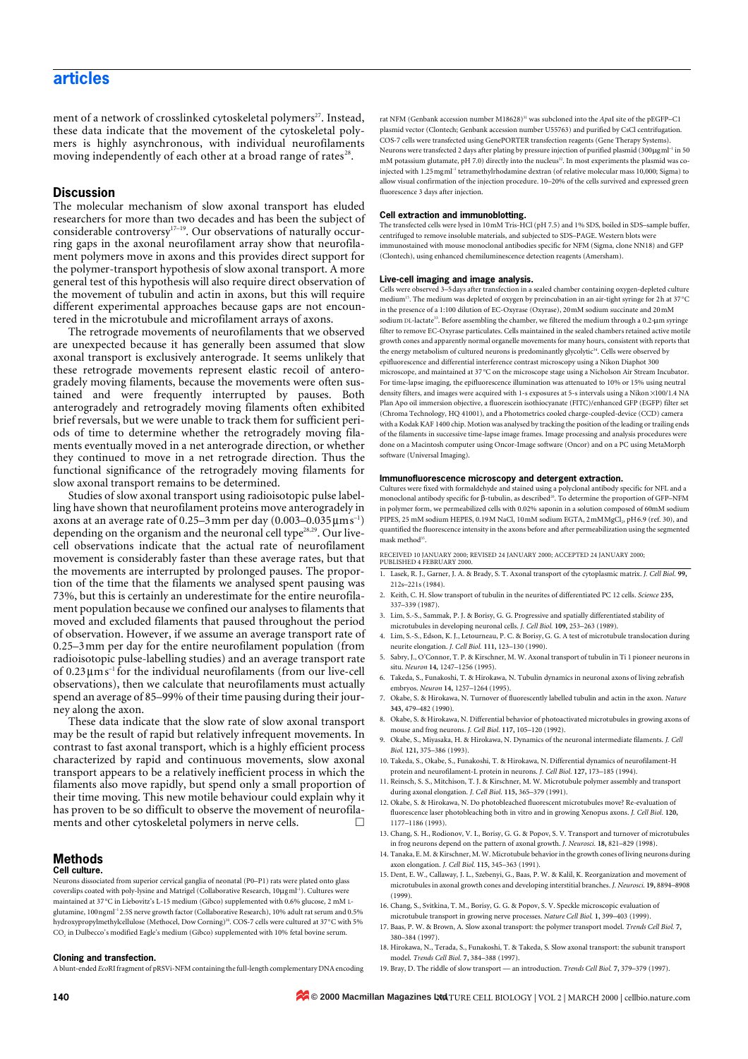# **articles**

ment of a network of crosslinked cytoskeletal polymers<sup>27</sup>. Instead, these data indicate that the movement of the cytoskeletal polymers is highly asynchronous, with individual neurofilaments moving independently of each other at a broad range of rates<sup>28</sup>.

# **Discussion**

The molecular mechanism of slow axonal transport has eluded researchers for more than two decades and has been the subject of considerable controversy<sup>17-19</sup>. Our observations of naturally occurring gaps in the axonal neurofilament array show that neurofilament polymers move in axons and this provides direct support for the polymer-transport hypothesis of slow axonal transport. A more general test of this hypothesis will also require direct observation of the movement of tubulin and actin in axons, but this will require different experimental approaches because gaps are not encountered in the microtubule and microfilament arrays of axons.

The retrograde movements of neurofilaments that we observed are unexpected because it has generally been assumed that slow axonal transport is exclusively anterograde. It seems unlikely that these retrograde movements represent elastic recoil of anterogradely moving filaments, because the movements were often sustained and were frequently interrupted by pauses. Both anterogradely and retrogradely moving filaments often exhibited brief reversals, but we were unable to track them for sufficient periods of time to determine whether the retrogradely moving filaments eventually moved in a net anterograde direction, or whether they continued to move in a net retrograde direction. Thus the functional significance of the retrogradely moving filaments for slow axonal transport remains to be determined.

Studies of slow axonal transport using radioisotopic pulse labelling have shown that neurofilament proteins move anterogradely in axons at an average rate of 0.25–3 mm per day  $(0.003-0.035 \mu m s^{-1})$ <br>danged ing on the expansion and the nauvanal sell two  $a^{28,29}$ . Our live depending on the organism and the neuronal cell type $28,29$ . Our livecell observations indicate that the actual rate of neurofilament movement is considerably faster than these average rates, but that the movements are interrupted by prolonged pauses. The proportion of the time that the filaments we analysed spent pausing was 73%, but this is certainly an underestimate for the entire neurofilament population because we confined our analyses to filaments that moved and excluded filaments that paused throughout the period of observation. However, if we assume an average transport rate of 0.25–3mm per day for the entire neurofilament population (from radioisotopic pulse-labelling studies) and an average transport rate of 0.23  $\mu$ ms<sup>-1</sup> for the individual neurofilaments (from our live-cell<br>observations), then we solvulate that neurofilaments must estually observations), then we calculate that neurofilaments must actually spend an average of 85–99% of their time pausing during their journey along the axon.

These data indicate that the slow rate of slow axonal transport may be the result of rapid but relatively infrequent movements. In contrast to fast axonal transport, which is a highly efficient process characterized by rapid and continuous movements, slow axonal transport appears to be a relatively inefficient process in which the filaments also move rapidly, but spend only a small proportion of their time moving. This new motile behaviour could explain why it has proven to be so difficult to observe the movement of neurofilaments and other cytoskeletal polymers in nerve cells.  $\Box$ 

## **Methods Cell culture.**

Neurons dissociated from superior cervical ganglia of neonatal (P0–P1) rats were plated onto glass coverslips coated with poly-lysine and Matrigel (Collaborative Research, 10  $\mu$ gml<sup>-1</sup>). Cultures were maintained at 37°C in Liebovitz's L-15 medium (Gibco) supplemented with 0.6% glucose, 2 mM Lglutamine, 100ngml–1 2.5S nerve growth factor (Collaborative Research), 10% adult rat serum and 0.5% hydroxypropylmethylcellulose (Methocel, Dow Corning)<sup>30</sup>. COS-7 cells were cultured at 37°C with 5% CO2 in Dulbecco's modified Eagle's medium (Gibco) supplemented with 10% fetal bovine serum.

#### **Cloning and transfection.**

A blunt-ended *Eco*RI fragment of pRSVi-NFM containing the full-length complementary DNA encoding

rat NFM (Genbank accession number M18628)<sup>31</sup> was subcloned into the *ApaI* site of the pEGFP–C1 plasmid vector (Clontech; Genbank accession number U55763) and purified by CsCl centrifugation. COS-7 cells were transfected using GenePORTER transfection reagents (Gene Therapy Systems). Neurons were transfected 2 days after plating by pressure injection of purified plasmid (300 µgml<sup>-1</sup> in 50 mM potassium glutamate, pH 7.0) directly into the nucleus<sup>32</sup>. In most experiments the plasmid was coinjected with  $1.25$  mg ml<sup>-1</sup> tetramethylrhodamine dextran (of relative molecular mass 10,000; Sigma) to allow visual confirmation of the injection procedure. 10–20% of the cells survived and expressed green fluorescence 3 days after injection.

## **Cell extraction and immunoblotting.**

The transfected cells were lysed in 10mM Tris-HCl (pH 7.5) and 1% SDS, boiled in SDS–sample buffer, centrifuged to remove insoluble materials, and subjected to SDS–PAGE. Western blots were immunostained with mouse monoclonal antibodies specific for NFM (Sigma, clone NN18) and GFP (Clontech), using enhanced chemiluminescence detection reagents (Amersham).

#### **Live-cell imaging and image analysis.**

Cells were observed 3–5days after transfection in a sealed chamber containing oxygen-depleted culture medium<sup>15</sup>. The medium was depleted of oxygen by preincubation in an air-tight syringe for 2h at 37 °C in the presence of a 1:100 dilution of EC-Oxyrase (Oxyrase), 20mM sodium succinate and 20mM sodium DL-lactate<sup>33</sup>. Before assembling the chamber, we filtered the medium through a 0.2-µm syringe filter to remove EC-Oxyrase particulates. Cells maintained in the sealed chambers retained active motile growth cones and apparently normal organelle movements for many hours, consistent with reports that the energy metabolism of cultured neurons is predominantly glycolytic<sup>34</sup>. Cells were observed by epifluorescence and differential interference contrast microscopy using a Nikon Diaphot 300 microscope, and maintained at 37°C on the microscope stage using a Nicholson Air Stream Incubator. For time-lapse imaging, the epifluorescence illumination was attenuated to 10% or 15% using neutral density filters, and images were acquired with 1-s exposures at 5-s intervals using a Nikon  $\times 100/1.4$  NA Plan Apo oil immersion objective, a fluorescein isothiocyanate (FITC)/enhanced GFP (EGFP) filter set (Chroma Technology, HQ 41001), and a Photometrics cooled charge-coupled-device (CCD) camera with a Kodak KAF 1400 chip. Motion was analysed by tracking the position of the leading or trailing ends of the filaments in successive time-lapse image frames. Image processing and analysis procedures were done on a Macintosh computer using Oncor-Image software (Oncor) and on a PC using MetaMorph software (Universal Imaging).

## **Immunofluorescence microscopy and detergent extraction.**

Cultures were fixed with formaldehyde and stained using a polyclonal antibody specific for NFL and a monoclonal antibody specific for  $\beta$ -tubulin, as described<sup>20</sup>. To determine the proportion of GFP–NFM in polymer form, we permeabilized cells with 0.02% saponin in a solution composed of 60mM sodium PIPES, 25 mM sodium HEPES, 0.19M NaCl, 10mM sodium EGTA, 2mMMgCl<sub>2</sub>, pH6.9 ([ref. 30\)](#page-4-0), and quantified the fluorescence intensity in the axons before and after permeabilization using the segmented mask method<sup>35</sup>.

RECEIVED 10 JANUARY 2000; REVISED 24 JANUARY 2000; ACCEPTED 24 JANUARY 2000; PUBLISHED 4 FEBRUARY 2000.

- 1. Lasek, R. J., Garner, J. A. & Brady, S. T. Axonal transport of the cytoplasmic matrix. *J. Cell Biol.* **99,** 212s–221s (1984).
- 2. Keith, C. H. Slow transport of tubulin in the neurites of differentiated PC 12 cells. *Science* **235,** 337–339 (1987).
- 3. Lim, S.-S., Sammak, P. J. & Borisy, G. G. Progressive and spatially differentiated stability of microtubules in developing neuronal cells. *J. Cell Biol.* **109,** 253–263 (1989).
- 4. Lim, S.-S., Edson, K. J., Letourneau, P. C. & Borisy, G. G. A test of microtubule translocation during neurite elongation. *J. Cell Biol.* **111,** 123–130 (1990).
- 5. Sabry, J., O'Connor, T. P. & Kirschner, M. W. Axonal transport of tubulin in Ti 1 pioneer neurons in situ. *Neuron* **14,** 1247–1256 (1995).
- 6. Takeda, S., Funakoshi, T. & Hirokawa, N. Tubulin dynamics in neuronal axons of living zebrafish embryos. *Neuron* **14,** 1257–1264 (1995).
- 7. Okabe, S. & Hirokawa, N. Turnover of fluorescently labelled tubulin and actin in the axon. *Nature* **343,** 479–482 (1990).
- 8. Okabe, S. & Hirokawa, N. Differential behavior of photoactivated microtubules in growing axons of mouse and frog neurons. *J. Cell Biol.* **117,** 105–120 (1992).
- 9. Okabe, S., Miyasaka, H. & Hirokawa, N. Dynamics of the neuronal intermediate filaments. *J. Cell Biol.* **121,** 375–386 (1993).
- 10. Takeda, S., Okabe, S., Funakoshi, T. & Hirokawa, N. Differential dynamics of neurofilament-H protein and neurofilament-L protein in neurons. *J. Cell Biol.* **127,** 173–185 (1994).
- 11. Reinsch, S. S., Mitchison, T. J. & Kirschner, M. W. Microtubule polymer assembly and transport during axonal elongation. *J. Cell Biol.* **115,** 365–379 (1991).
- 12. Okabe, S. & Hirokawa, N. Do photobleached fluorescent microtubules move? Re-evaluation of fluorescence laser photobleaching both in vitro and in growing Xenopus axons. *J. Cell Biol.* **120,** 1177–1186 (1993).
- 13. Chang, S. H., Rodionov, V. I., Borisy, G. G. & Popov, S. V. Transport and turnover of microtubules in frog neurons depend on the pattern of axonal growth. *J. Neurosci.* **18,** 821–829 (1998).
- 14. Tanaka, E. M. & Kirschner, M. W. Microtubule behavior in the growth cones of living neurons during axon elongation. *J. Cell Biol.* **115,** 345–363 (1991).
- 15. Dent, E. W., Callaway, J. L., Szebenyi, G., Baas, P. W. & Kalil, K. Reorganization and movement of microtubules in axonal growth cones and developing interstitial branches. *J. Neurosci.* **19,** 8894–8908 (1999).
- 16. Chang, S., Svitkina, T. M., Borisy, G. G. & Popov, S. V. Speckle microscopic evaluation of microtubule transport in growing nerve processes. *Nature Cell Biol.* **1,** 399–403 (1999).
- 17. Baas, P. W. & Brown, A. Slow axonal transport: the polymer transport model. *Trends Cell Biol.* **7,** 380–384 (1997).
- 18. Hirokawa, N., Terada, S., Funakoshi, T. & Takeda, S. Slow axonal transport: the subunit transport model. *Trends Cell Biol.* **7,** 384–388 (1997).
- 19. Bray, D. The riddle of slow transport an introduction. *Trends Cell Biol.* **7,** 379–379 (1997).